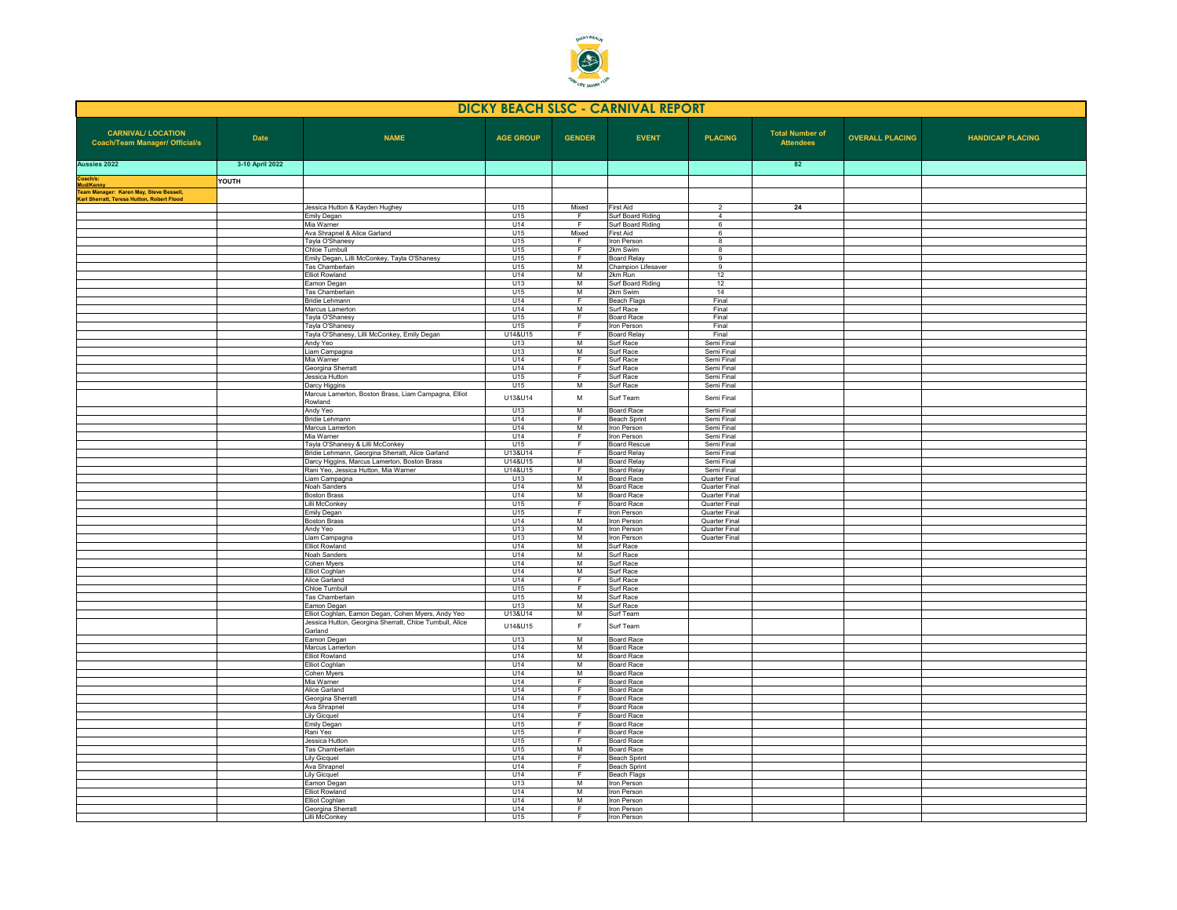

| <b>DICKY BEACH SLSC - CARNIVAL REPORT</b>                                                                  |                 |                                                                                      |                      |                     |                                        |                                       |                                            |                        |                         |
|------------------------------------------------------------------------------------------------------------|-----------------|--------------------------------------------------------------------------------------|----------------------|---------------------|----------------------------------------|---------------------------------------|--------------------------------------------|------------------------|-------------------------|
| <b>CARNIVAL/ LOCATION</b><br><b>Coach/Team Manager/ Official/s</b>                                         | <b>Date</b>     | <b>NAME</b>                                                                          | <b>AGE GROUP</b>     | <b>GENDER</b>       | <b>EVENT</b>                           | <b>PLACING</b>                        | <b>Total Number of</b><br><b>Attendees</b> | <b>OVERALL PLACING</b> | <b>HANDICAP PLACING</b> |
| Aussies 2022                                                                                               | 3-10 April 2022 |                                                                                      |                      |                     |                                        |                                       | 82                                         |                        |                         |
| Coach/s:                                                                                                   | YOUTH           |                                                                                      |                      |                     |                                        |                                       |                                            |                        |                         |
| <b>Mud/Kenny<br/>Team Manager: Karen May, Steve Bessell,</b><br>Karl Sherratt, Teresa Hutton, Robert Flood |                 |                                                                                      |                      |                     |                                        |                                       |                                            |                        |                         |
|                                                                                                            |                 | Jessica Hutton & Kayden Hughey                                                       | U15                  | Mixed               | <b>First Aid</b>                       | $\overline{2}$                        | 24                                         |                        |                         |
|                                                                                                            |                 | Emily Degan<br>Mia Warner                                                            | U15<br>U14           | $\overline{F}$<br>E | Surf Board Riding<br>Surf Board Riding | $\overline{4}$<br>6                   |                                            |                        |                         |
|                                                                                                            |                 | Ava Shrapnel & Alice Garland                                                         | U15                  | Mixed               | First Aid                              | - 6                                   |                                            |                        |                         |
|                                                                                                            |                 | Tayla O'Shanesy                                                                      | U15                  | E                   | <b>Iron Person</b>                     | $\overline{\mathbf{8}}$               |                                            |                        |                         |
|                                                                                                            |                 | Chloe Turnbull<br>Emily Degan, Lilli McConkey, Tayla O'Shanesy                       | U15<br>U15           | F<br>F              | 2km Swim<br><b>Board Relay</b>         | $^{\circ}$<br>9                       |                                            |                        |                         |
|                                                                                                            |                 | Tas Chamberlain                                                                      | U15                  | M                   | Champion Lifesaver                     | 9                                     |                                            |                        |                         |
|                                                                                                            |                 | <b>Elliot Rowland</b><br>Eamon Degan                                                 | U14<br>U13           | M<br>M              | 2km Run<br>Surf Board Riding           | 12<br>12                              |                                            |                        |                         |
|                                                                                                            |                 | Tas Chamberlain                                                                      | U15                  | M                   | 2km Swim                               | 14                                    |                                            |                        |                         |
|                                                                                                            |                 | Bridie Lehmann                                                                       | U14                  | F                   | Beach Flags                            | Final                                 |                                            |                        |                         |
|                                                                                                            |                 | Marcus Lamerton<br>Tayla O'Shanesy                                                   | U14<br>U15           | M<br>F              | Surf Race<br>Board Race                | Final<br>Final                        |                                            |                        |                         |
|                                                                                                            |                 | Tayla O'Shanesy                                                                      | U15                  | F.                  | Iron Person                            | Final                                 |                                            |                        |                         |
|                                                                                                            |                 | Tayla O'Shanesy, Lilli McConkey, Emily Degan                                         | U14&U15              | F                   | <b>Board Relay</b>                     | Final                                 |                                            |                        |                         |
|                                                                                                            |                 | Andy Yeo<br>Liam Campagna                                                            | U13<br>U13           | M<br>M              | Surf Race<br>Surf Race                 | Semi Final<br>Semi Final              |                                            |                        |                         |
|                                                                                                            |                 | Mia Warner                                                                           | U14                  | F                   | Surf Race                              | Semi Final                            |                                            |                        |                         |
|                                                                                                            |                 | Georgina Sherratt                                                                    | U14                  | F                   | urf Race                               | Semi Final                            |                                            |                        |                         |
|                                                                                                            |                 | Jessica Hutton<br>Darcy Higgins                                                      | U15<br>U15           | F.<br>M             | Surf Race<br>Surf Race                 | Semi Final<br>Semi Final              |                                            |                        |                         |
|                                                                                                            |                 | Marcus Lamerton, Boston Brass, Liam Campagna, Elliot<br>Rowland                      | U13&U14              | M                   | Surf Team                              | Semi Final                            |                                            |                        |                         |
|                                                                                                            |                 | Andy Yeo                                                                             | U13                  | M                   | <b>Board Race</b>                      | Semi Final                            |                                            |                        |                         |
|                                                                                                            |                 | <b>Bridie Lehmann</b>                                                                | U14                  | F<br>M              | <b>Beach Sprint</b>                    | Semi Final                            |                                            |                        |                         |
|                                                                                                            |                 | Marcus Lamerton<br>Mia Warner                                                        | U14<br>U14           | F                   | Iron Person<br>ron Person              | Semi Final<br>Semi Final              |                                            |                        |                         |
|                                                                                                            |                 | Tayla O'Shanesy & Lilli McConkey                                                     | U15                  | F                   | <b>Board Rescue</b>                    | Semi Final                            |                                            |                        |                         |
|                                                                                                            |                 | Bridie Lehmann, Georgina Sherratt, Alice Garland                                     | U13&U14              | F<br>M              | <b>Board Relay</b>                     | Semi Final                            |                                            |                        |                         |
|                                                                                                            |                 | Darcy Higgins, Marcus Lamerton, Boston Brass<br>Rani Yeo, Jessica Hutton, Mia Warner | 111481115<br>U14&U15 | F                   | <b>Board Relay</b><br>Board Relay      | Semi Final<br>Semi Final              |                                            |                        |                         |
|                                                                                                            |                 | Liam Campagna                                                                        | U13                  | M                   | Board Race                             | Quarter Final                         |                                            |                        |                         |
|                                                                                                            |                 | Noah Sanders<br><b>Boston Brass</b>                                                  | U14<br>U14           | M<br>M              | Board Race<br><b>Board Race</b>        | <b>Quarter Final</b><br>Quarter Final |                                            |                        |                         |
|                                                                                                            |                 | illi McConkey                                                                        | U15                  | F                   | <b>Board Race</b>                      | Quarter Final                         |                                            |                        |                         |
|                                                                                                            |                 | <b>Emily Degan</b>                                                                   | U15                  | F.                  | Iron Person                            | Quarter Final                         |                                            |                        |                         |
|                                                                                                            |                 | <b>Boston Brass</b><br>Andy Yeo                                                      | U14<br>U13           | M<br>M              | Iron Person<br>Iron Person             | <b>Quarter Final</b><br>Quarter Final |                                            |                        |                         |
|                                                                                                            |                 | Liam Campagna                                                                        | U13                  | M                   | ron Person                             | <b>Quarter Final</b>                  |                                            |                        |                         |
|                                                                                                            |                 | Filiot Rowland                                                                       | U14                  | M                   | Surf Race                              |                                       |                                            |                        |                         |
|                                                                                                            |                 | Noah Sanders<br>Cohen Myers                                                          | U14<br>U14           | M<br>M              | Surf Race<br>Surf Race                 |                                       |                                            |                        |                         |
|                                                                                                            |                 | <b>Iliot Coghlan</b>                                                                 | U14                  | M                   | Surf Race                              |                                       |                                            |                        |                         |
|                                                                                                            |                 | Alice Garland                                                                        | U14                  | F                   | Suf Race                               |                                       |                                            |                        |                         |
|                                                                                                            |                 | Chloe Turnbull<br><b>Tas Chamberlain</b>                                             | U15<br>U15           | F<br>M              | Surf Race<br>Surf Race                 |                                       |                                            |                        |                         |
|                                                                                                            |                 | Eamon Degan                                                                          | U13                  | M                   | Surf Race                              |                                       |                                            |                        |                         |
|                                                                                                            |                 | Elliot Coghlan, Eamon Degan, Cohen Myers, Andy Yeo                                   | U13&U14              | M                   | Surf Team                              |                                       |                                            |                        |                         |
|                                                                                                            |                 | Jessica Hutton, Georgina Sherratt, Chloe Turnbull, Alice<br>Garland                  | U14&U15              | F                   | Surf Team                              |                                       |                                            |                        |                         |
|                                                                                                            |                 | Eamon Degan<br>Marcus Lamerton                                                       | U13<br>U14           | M<br>M              | <b>Board Race</b><br>Board Race        |                                       |                                            |                        |                         |
|                                                                                                            |                 | <b>Elliot Rowland</b>                                                                | U14                  | M                   | <b>Board Race</b>                      |                                       |                                            |                        |                         |
|                                                                                                            |                 | Elliot Coghlan                                                                       | U14                  | M<br>M              | <b>Board Race</b>                      |                                       |                                            |                        |                         |
|                                                                                                            |                 | Cohen Myers<br>Mia Warner                                                            | U14<br>U14           | F                   | <b>Board Race</b><br><b>Board Race</b> |                                       |                                            |                        |                         |
|                                                                                                            |                 | Alice Garland                                                                        | U14                  | F.                  | Board Race                             |                                       |                                            |                        |                         |
|                                                                                                            |                 | Georgina Sherratt                                                                    | U14                  | F<br>F              | <b>Board Race</b>                      |                                       |                                            |                        |                         |
|                                                                                                            |                 | Ava Shrapnel<br><b>Lilv Gicauel</b>                                                  | U14<br>U14           | $\overline{F}$      | Joard Race<br><b>Board Race</b>        |                                       |                                            |                        |                         |
|                                                                                                            |                 | Emily Degan                                                                          | U15                  | F.                  | <b>Board Race</b>                      |                                       |                                            |                        |                         |
|                                                                                                            |                 | Rani Yeo<br>Jessica Hutton                                                           | U15<br>U15           | F<br>F              | <b>Board Race</b><br><b>Board Race</b> |                                       |                                            |                        |                         |
|                                                                                                            |                 | <b>Tas Chamberlain</b>                                                               | U15                  | M                   | <b>Board Race</b>                      |                                       |                                            |                        |                         |
|                                                                                                            |                 | <b>Lily Gicquel</b>                                                                  | U14                  | F                   | <b>Beach Sprint</b>                    |                                       |                                            |                        |                         |
|                                                                                                            |                 | Ava Shrannel                                                                         | U14<br>U14           | F<br>E              | <b>Beach Sprint</b>                    |                                       |                                            |                        |                         |
|                                                                                                            |                 | <b>Lily Gicquel</b><br>Eamon Degan                                                   | U13                  | M                   | Beach Flags<br>Iron Person             |                                       |                                            |                        |                         |
|                                                                                                            |                 | <b>Elliot Rowland</b>                                                                | U14                  | M                   | Iron Person                            |                                       |                                            |                        |                         |
|                                                                                                            |                 | Filiot Coghlan<br>Georgina Sherratt                                                  | U14<br>U14           | M<br>F.             | <b>Iron Person</b><br>Iron Person      |                                       |                                            |                        |                         |
|                                                                                                            |                 | Lilli McConkey                                                                       | U15                  | F                   | Iron Person                            |                                       |                                            |                        |                         |
|                                                                                                            |                 |                                                                                      |                      |                     |                                        |                                       |                                            |                        |                         |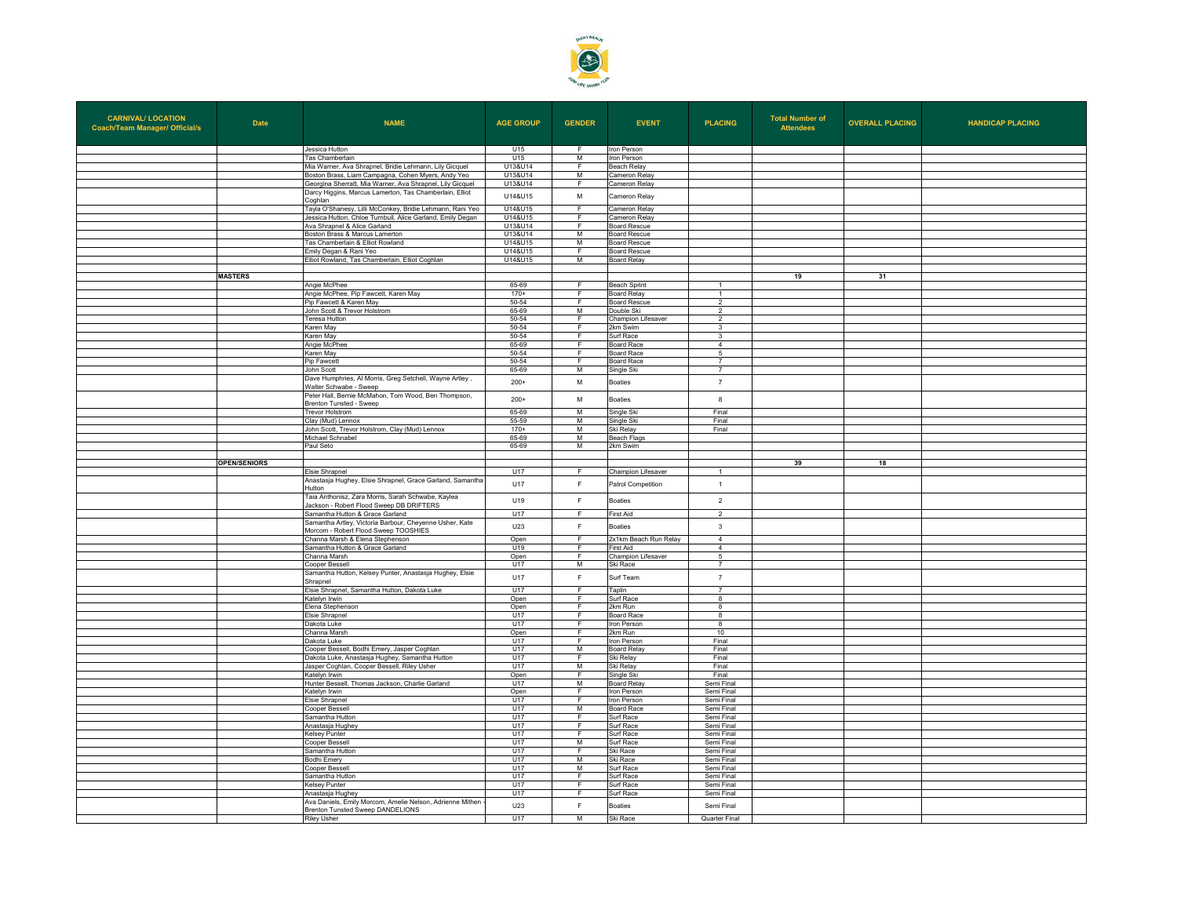

| <b>CARNIVAL/ LOCATION</b><br><b>Coach/Team Manager/ Official/s</b> | <b>Date</b>         | <b>NAME</b>                                                                                                               | <b>AGE GROUP</b> | <b>GENDER</b>       | <b>EVENT</b>                       | <b>PLACING</b>                 | <b>Total Number of</b><br><b>Attendees</b> | <b>OVERALL PLACING</b> | <b>HANDICAP PLACING</b> |
|--------------------------------------------------------------------|---------------------|---------------------------------------------------------------------------------------------------------------------------|------------------|---------------------|------------------------------------|--------------------------------|--------------------------------------------|------------------------|-------------------------|
|                                                                    |                     | Jessica Hutton                                                                                                            | U15              | F.                  | Iron Person                        |                                |                                            |                        |                         |
|                                                                    |                     | Tas Chamberlain                                                                                                           | U15              | M                   | ron Person                         |                                |                                            |                        |                         |
|                                                                    |                     | Mia Warner, Ava Shrapnel, Bridie Lehmann, Lily Gicquel                                                                    | U13&U14          | F.                  | Beach Relay                        |                                |                                            |                        |                         |
|                                                                    |                     | Boston Brass, Liam Campagna, Cohen Myers, Andy Yeo                                                                        | U13&U14          | M                   | ameron Relay                       |                                |                                            |                        |                         |
|                                                                    |                     | Georgina Sherratt, Mia Warner, Ava Shrapnel, Lily Gicquel                                                                 | U13&U14          | E                   | Cameron Relay                      |                                |                                            |                        |                         |
|                                                                    |                     | Darcy Higgins, Marcus Lamerton, Tas Chamberlain, Elliot                                                                   | U14&U15          | M                   | Cameron Relay                      |                                |                                            |                        |                         |
|                                                                    |                     | Coghlan                                                                                                                   |                  |                     |                                    |                                |                                            |                        |                         |
|                                                                    |                     | Tayla O'Shanesy, Lilli McConkey, Bridie Lehmann, Rani Yeo                                                                 | U14&U15          | F                   | Cameron Relay                      |                                |                                            |                        |                         |
|                                                                    |                     | Jessica Hutton, Chloe Turnbull, Alice Garland, Emily Degan                                                                | 111481115        | E                   | Cameron Relav                      |                                |                                            |                        |                         |
|                                                                    |                     | Ava Shrapnel & Alice Garland                                                                                              | U13&U14          | F                   | <b>Board Rescue</b>                |                                |                                            |                        |                         |
|                                                                    |                     | Boston Brass & Marcus Lamerton                                                                                            | U13&U14          | M                   | <b>Board Rescue</b>                |                                |                                            |                        |                         |
|                                                                    |                     | as Chamberlain & Elliot Rowland                                                                                           | U14&U15          | M                   | oard Rescue                        |                                |                                            |                        |                         |
|                                                                    |                     | Emily Degan & Rani Yeo                                                                                                    | U14&U15          | F                   | Board Rescue                       |                                |                                            |                        |                         |
|                                                                    |                     | Elliot Rowland, Tas Chamberlain, Elliot Coghlan                                                                           | U14&U15          | M                   | <b>Board Relay</b>                 |                                |                                            |                        |                         |
|                                                                    | <b>MASTERS</b>      |                                                                                                                           |                  |                     |                                    |                                | 19                                         | 31                     |                         |
|                                                                    |                     |                                                                                                                           | 65-69            | F                   |                                    | $\overline{1}$                 |                                            |                        |                         |
|                                                                    |                     | Angie McPhee<br>Angie McPhee, Pip Fawcett, Karen May                                                                      | $170+$           | F                   | Beach Sprint<br><b>Board Relav</b> | $\overline{1}$                 |                                            |                        |                         |
|                                                                    |                     |                                                                                                                           |                  | F.                  |                                    | $\overline{2}$                 |                                            |                        |                         |
|                                                                    |                     | Pip Fawcett & Karen May<br>John Scott & Trevor Holstrom                                                                   | 50-54<br>65-69   | M                   | <b>Board Rescue</b><br>Jouble Ski  | $\overline{2}$                 |                                            |                        |                         |
|                                                                    |                     | Feresa Hutton                                                                                                             | 50-54            | E                   | Champion Lifesaver                 | $\overline{2}$                 |                                            |                        |                         |
|                                                                    |                     | Karen May                                                                                                                 | 50-54            | F                   | 2km Swim                           | 3                              |                                            |                        |                         |
|                                                                    |                     | Karen May                                                                                                                 | 50-54            | F.                  | Surf Race                          | $\mathbf{3}$                   |                                            |                        |                         |
|                                                                    |                     | Angie McPhee                                                                                                              | 65-69            | F                   | loard Race                         | $\overline{4}$                 |                                            |                        |                         |
|                                                                    |                     | Karen May                                                                                                                 | 50-54            | E                   | Board Race                         | 5                              |                                            |                        |                         |
|                                                                    |                     | Pip Fawcett                                                                                                               | 50-54            | F                   | Board Race                         | $\overline{7}$                 |                                            |                        |                         |
|                                                                    |                     | John Scott                                                                                                                | 65-69            | M                   | Single Ski                         | $\overline{7}$                 |                                            |                        |                         |
|                                                                    |                     | Dave Humphries, Al Morris, Greg Setchell, Wayne Artley,                                                                   |                  |                     |                                    |                                |                                            |                        |                         |
|                                                                    |                     | Walter Schwabe - Sweep<br>Peter Hall, Bernie McMahon, Tom Wood, Ben Thompson,                                             | $200+$           | M                   | <b>Boaties</b>                     | $\overline{7}$                 |                                            |                        |                         |
|                                                                    |                     | Brenton Tunsted - Sweep                                                                                                   | $200+$           | M                   | <b>Boaties</b>                     | 8                              |                                            |                        |                         |
|                                                                    |                     | Trevor Holstrom                                                                                                           | 65-69            | M                   | Single Ski                         | Final                          |                                            |                        |                         |
|                                                                    |                     | Clay (Mud) Lennox                                                                                                         | 55-59            | M                   | Single Ski                         | Final                          |                                            |                        |                         |
|                                                                    |                     | John Scott, Trevor Holstrom, Clay (Mud) Lennox                                                                            | $170+$           | M                   | Ski Relav                          | Final                          |                                            |                        |                         |
|                                                                    |                     | Michael Schnabel                                                                                                          | 65-69            | M                   | <b>Beach Flags</b>                 |                                |                                            |                        |                         |
|                                                                    |                     | Paul Seto                                                                                                                 | 65-69            | M                   | 2km Swim                           |                                |                                            |                        |                         |
|                                                                    |                     |                                                                                                                           |                  |                     |                                    |                                |                                            |                        |                         |
|                                                                    | <b>OPEN/SENIORS</b> |                                                                                                                           |                  |                     |                                    |                                | 39                                         | 18                     |                         |
|                                                                    |                     | Elsie Shrapnel                                                                                                            | U17              | F.                  | Champion Lifesaver                 | $\overline{1}$                 |                                            |                        |                         |
|                                                                    |                     | Anastasja Hughey, Elsie Shrapnel, Grace Garland, Samantha<br>Hutton                                                       | U17              | F                   | Patrol Competition                 | $\overline{1}$                 |                                            |                        |                         |
|                                                                    |                     | Taia Anthonisz, Zara Morris, Sarah Schwabe, Kaylea<br>Jackson - Robert Flood Sweep DB DRIFTERS                            | U19              | F                   | <b>Boaties</b>                     | $\overline{2}$                 |                                            |                        |                         |
|                                                                    |                     | Samantha Hutton & Grace Garland<br>Samantha Artley, Victoria Barbour, Cheyenne Usher, Kate                                | U17              | F                   | First Aid                          | $\overline{\phantom{a}}$       |                                            |                        |                         |
|                                                                    |                     | Morcom - Robert Flood Sweep TOOSHIES                                                                                      | U23              | E<br>F              | <b>Boaties</b>                     | $\mathbf{3}$<br>$\overline{4}$ |                                            |                        |                         |
|                                                                    |                     | Channa Marsh & Elena Stephenson                                                                                           | Open<br>U19      | F                   | 2x1km Beach Run Relay<br>First Aid | $\overline{4}$                 |                                            |                        |                         |
|                                                                    |                     | Samantha Hutton & Grace Garland<br>Channa Marsh                                                                           | Open             | F                   | Champion Lifesaver                 | 5                              |                                            |                        |                         |
|                                                                    |                     | <b>Cooper Bessell</b>                                                                                                     | <b>U17</b>       | M                   | Ski Race                           | $\overline{7}$                 |                                            |                        |                         |
|                                                                    |                     | Samantha Hutton, Kelsey Punter, Anastasja Hughey, Elsie                                                                   | U17              | F                   | Surf Team                          | $\overline{7}$                 |                                            |                        |                         |
|                                                                    |                     | Shrapnel                                                                                                                  |                  |                     |                                    |                                |                                            |                        |                         |
|                                                                    |                     | Elsie Shrapnel, Samantha Hutton, Dakota Luke                                                                              | U17              | F<br>$\overline{F}$ | Taplin<br>Surf Race                | $\overline{7}$<br>$^{\circ}$   |                                            |                        |                         |
|                                                                    |                     | Katelyn Irwin<br>Elena Stephenson                                                                                         | Open<br>Open     | F                   | 2km Run                            | $\overline{\mathbf{8}}$        |                                            |                        |                         |
|                                                                    |                     | Fisie Shrannel                                                                                                            | <b>U17</b>       | E                   | <b>Board Race</b>                  | -8                             |                                            |                        |                         |
|                                                                    |                     | Dakota Luke                                                                                                               | U17              |                     | Iron Person                        | 8                              |                                            |                        |                         |
|                                                                    |                     | Channa Marsh                                                                                                              | Open             | F                   | 2km Run                            | 10                             |                                            |                        |                         |
|                                                                    |                     | Dakota Luke                                                                                                               | U17              | F                   | <b>Iron Person</b>                 | Final                          |                                            |                        |                         |
|                                                                    |                     | Cooper Bessell, Bodhi Emery, Jasper Coghlan                                                                               | <b>U17</b>       | M                   | <b>Board Relav</b>                 | Final                          |                                            |                        |                         |
|                                                                    |                     | Dakota Luke, Anastasja Hughey, Samantha Hutton                                                                            | U17              | F                   | Ski Relay                          | Final                          |                                            |                        |                         |
|                                                                    |                     | Jasper Coghlan, Cooper Bessell, Riley Usher                                                                               | <b>U17</b>       | M                   | Ski Relav                          | Final                          |                                            |                        |                         |
|                                                                    |                     | Katelyn Irwin                                                                                                             | Open             | F.                  | Single Ski                         | Final                          |                                            |                        |                         |
|                                                                    |                     | Hunter Bessell, Thomas Jackson, Charlie Garland                                                                           | U17              | M                   | <b>Board Relay</b>                 | Semi Final                     |                                            |                        |                         |
|                                                                    |                     | <atelyn irwin<="" td=""><td>Open</td><td>E</td><td>ron Person</td><td>Semi Final</td><td></td><td></td><td></td></atelyn> | Open             | E                   | ron Person                         | Semi Final                     |                                            |                        |                         |
|                                                                    |                     | <b>Fisie Shrannel</b>                                                                                                     | U17              | F                   | Iron Person                        | Semi Final                     |                                            |                        |                         |
|                                                                    |                     | Cooper Bessell                                                                                                            | U17              | M                   | <b>Board Race</b>                  | Semi Final                     |                                            |                        |                         |
|                                                                    |                     | Samantha Hutton                                                                                                           | U17              | -F.                 | Surf Race                          | Semi Final                     |                                            |                        |                         |
|                                                                    |                     | Anastasja Hughey                                                                                                          | U17              | F                   | urf Race                           | Semi Final                     |                                            |                        |                         |
|                                                                    |                     | <b>Kelsev Punter</b>                                                                                                      | U17              | Ŧ                   | Surf Race                          | Semi Final                     |                                            |                        |                         |
|                                                                    |                     | Cooper Bessell                                                                                                            | U17              | M                   | Surf Race                          | Semi Final                     |                                            |                        |                         |
|                                                                    |                     | Samantha Hutton                                                                                                           | U17              | F                   | Ski Race                           | Semi Final                     |                                            |                        |                         |
|                                                                    |                     | odhi Emery                                                                                                                | U17              | M                   | ški Race                           | Semi Final                     |                                            |                        |                         |
|                                                                    |                     | Cooper Bessell                                                                                                            | U17              | M                   | Surf Race                          | Semi Final                     |                                            |                        |                         |
|                                                                    |                     | Samantha Hutton                                                                                                           | U17              | F.                  | Surf Race                          | Semi Final                     |                                            |                        |                         |
|                                                                    |                     | Kelsev Punter                                                                                                             | U17              | F                   | Surf Race                          | Semi Final                     |                                            |                        |                         |
|                                                                    |                     | Anastasja Hughey                                                                                                          | U17              | F                   | urf Race                           | Semi Final                     |                                            |                        |                         |
|                                                                    |                     | Ava Daniels, Emily Morcom, Amelie Nelson, Adrienne Mithen<br>Brenton Tunsted Sweep DANDELIONS                             | U23              | $\mathsf F$         | <b>Boaties</b>                     | Semi Final                     |                                            |                        |                         |
|                                                                    |                     | <b>Riley Usher</b>                                                                                                        | U17              | M                   | Ski Race                           | <b>Quarter Final</b>           |                                            |                        |                         |